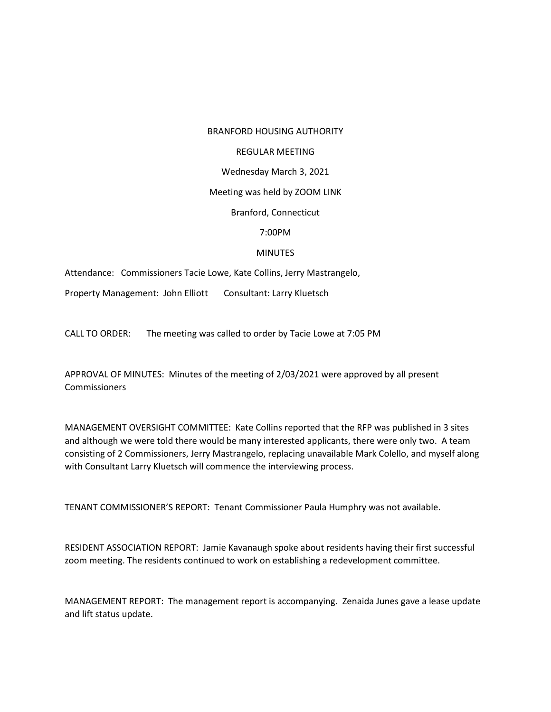#### BRANFORD HOUSING AUTHORITY

#### REGULAR MEETING

### Wednesday March 3, 2021

### Meeting was held by ZOOM LINK

# Branford, Connecticut

# 7:00PM

# MINUTES

Attendance: Commissioners Tacie Lowe, Kate Collins, Jerry Mastrangelo,

Property Management: John Elliott Consultant: Larry Kluetsch

CALL TO ORDER: The meeting was called to order by Tacie Lowe at 7:05 PM

APPROVAL OF MINUTES: Minutes of the meeting of 2/03/2021 were approved by all present Commissioners

MANAGEMENT OVERSIGHT COMMITTEE: Kate Collins reported that the RFP was published in 3 sites and although we were told there would be many interested applicants, there were only two. A team consisting of 2 Commissioners, Jerry Mastrangelo, replacing unavailable Mark Colello, and myself along with Consultant Larry Kluetsch will commence the interviewing process.

TENANT COMMISSIONER'S REPORT: Tenant Commissioner Paula Humphry was not available.

RESIDENT ASSOCIATION REPORT: Jamie Kavanaugh spoke about residents having their first successful zoom meeting. The residents continued to work on establishing a redevelopment committee.

MANAGEMENT REPORT: The management report is accompanying. Zenaida Junes gave a lease update and lift status update.